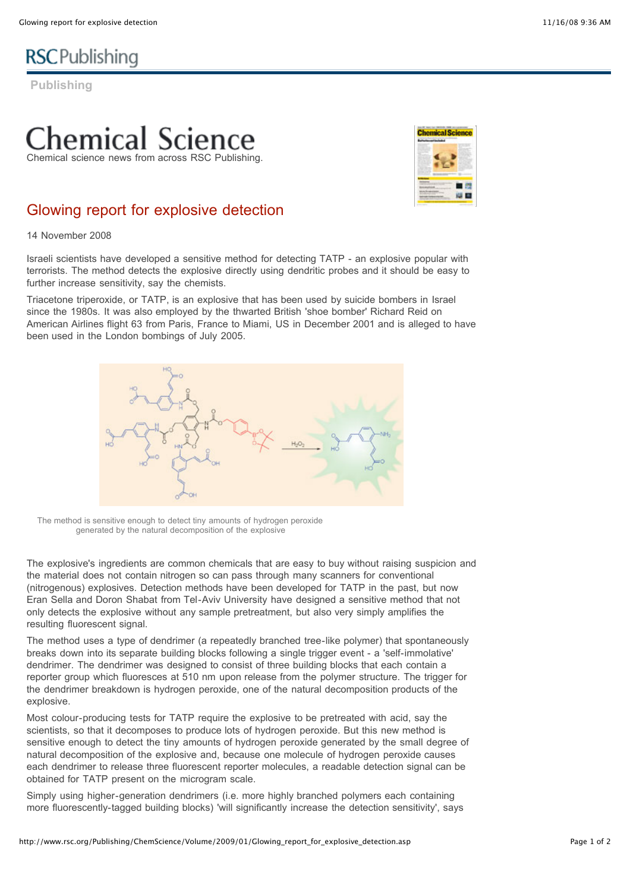# **RSC**Publishing

**Publishing**

## emical Science Chemical science news from across RSC Publishing.



### Glowing report for explosive detection

14 November 2008

Israeli scientists have developed a sensitive method for detecting TATP - an explosive popular with terrorists. The method detects the explosive directly using dendritic probes and it should be easy to further increase sensitivity, say the chemists.

Triacetone triperoxide, or TATP, is an explosive that has been used by suicide bombers in Israel since the 1980s. It was also employed by the thwarted British 'shoe bomber' Richard Reid on American Airlines flight 63 from Paris, France to Miami, US in December 2001 and is alleged to have been used in the London bombings of July 2005.



The method is sensitive enough to detect tiny amounts of hydrogen peroxide generated by the natural decomposition of the explosive

The explosive's ingredients are common chemicals that are easy to buy without raising suspicion and the material does not contain nitrogen so can pass through many scanners for conventional (nitrogenous) explosives. Detection methods have been developed for TATP in the past, but now Eran Sella and Doron Shabat from Tel-Aviv University have designed a sensitive method that not only detects the explosive without any sample pretreatment, but also very simply amplifies the resulting fluorescent signal.

The method uses a type of dendrimer (a repeatedly branched tree-like polymer) that spontaneously breaks down into its separate building blocks following a single trigger event - a 'self-immolative' dendrimer. The dendrimer was designed to consist of three building blocks that each contain a reporter group which fluoresces at 510 nm upon release from the polymer structure. The trigger for the dendrimer breakdown is hydrogen peroxide, one of the natural decomposition products of the explosive.

Most colour-producing tests for TATP require the explosive to be pretreated with acid, say the scientists, so that it decomposes to produce lots of hydrogen peroxide. But this new method is sensitive enough to detect the tiny amounts of hydrogen peroxide generated by the small degree of natural decomposition of the explosive and, because one molecule of hydrogen peroxide causes each dendrimer to release three fluorescent reporter molecules, a readable detection signal can be obtained for TATP present on the microgram scale.

Simply using higher-generation dendrimers (i.e. more highly branched polymers each containing more fluorescently-tagged building blocks) 'will significantly increase the detection sensitivity', says